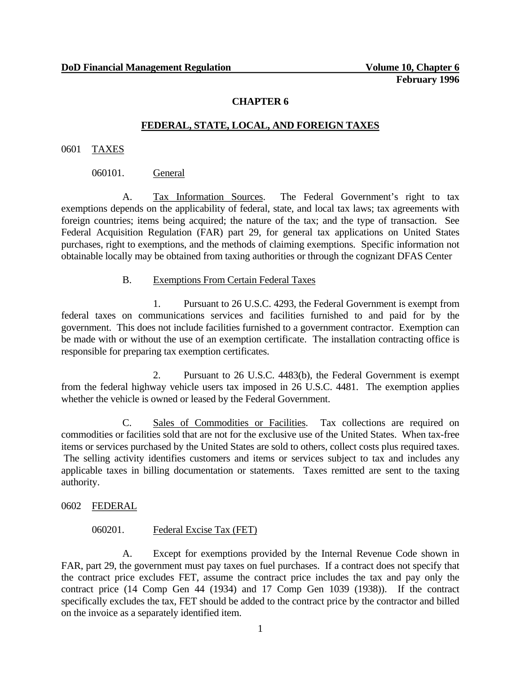## **CHAPTER 6**

## **FEDERAL, STATE, LOCAL, AND FOREIGN TAXES**

#### 0601 TAXES

## 060101. General

A. Tax Information Sources. The Federal Government's right to tax exemptions depends on the applicability of federal, state, and local tax laws; tax agreements with foreign countries; items being acquired; the nature of the tax; and the type of transaction. See Federal Acquisition Regulation (FAR) part 29, for general tax applications on United States purchases, right to exemptions, and the methods of claiming exemptions. Specific information not obtainable locally may be obtained from taxing authorities or through the cognizant DFAS Center

## B. Exemptions From Certain Federal Taxes

1. Pursuant to 26 U.S.C. 4293, the Federal Government is exempt from federal taxes on communications services and facilities furnished to and paid for by the government. This does not include facilities furnished to a government contractor. Exemption can be made with or without the use of an exemption certificate. The installation contracting office is responsible for preparing tax exemption certificates.

2. Pursuant to 26 U.S.C. 4483(b), the Federal Government is exempt from the federal highway vehicle users tax imposed in 26 U.S.C. 4481. The exemption applies whether the vehicle is owned or leased by the Federal Government.

C. Sales of Commodities or Facilities. Tax collections are required on commodities or facilities sold that are not for the exclusive use of the United States. When tax-free items or services purchased by the United States are sold to others, collect costs plus required taxes. The selling activity identifies customers and items or services subject to tax and includes any applicable taxes in billing documentation or statements. Taxes remitted are sent to the taxing authority.

## 0602 FEDERAL

## 060201. Federal Excise Tax (FET)

A. Except for exemptions provided by the Internal Revenue Code shown in FAR, part 29, the government must pay taxes on fuel purchases. If a contract does not specify that the contract price excludes FET, assume the contract price includes the tax and pay only the contract price (14 Comp Gen 44 (1934) and 17 Comp Gen 1039 (1938)). If the contract specifically excludes the tax, FET should be added to the contract price by the contractor and billed on the invoice as a separately identified item.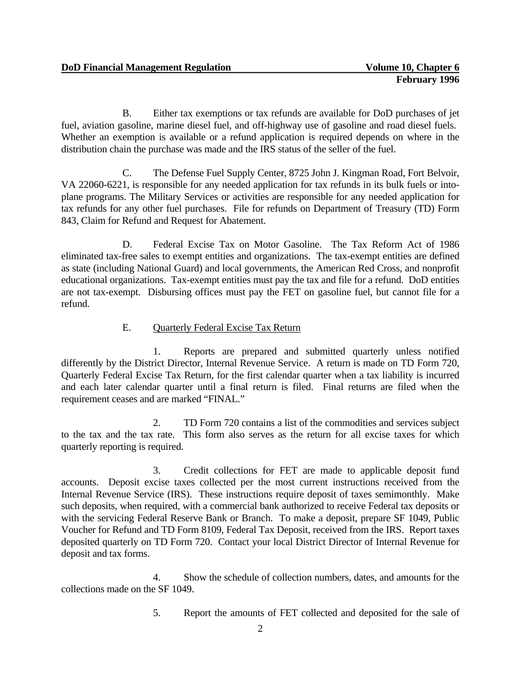B. Either tax exemptions or tax refunds are available for DoD purchases of jet fuel, aviation gasoline, marine diesel fuel, and off-highway use of gasoline and road diesel fuels. Whether an exemption is available or a refund application is required depends on where in the distribution chain the purchase was made and the IRS status of the seller of the fuel.

C. The Defense Fuel Supply Center, 8725 John J. Kingman Road, Fort Belvoir, VA 22060-6221, is responsible for any needed application for tax refunds in its bulk fuels or intoplane programs. The Military Services or activities are responsible for any needed application for tax refunds for any other fuel purchases. File for refunds on Department of Treasury (TD) Form 843, Claim for Refund and Request for Abatement.

D. Federal Excise Tax on Motor Gasoline. The Tax Reform Act of 1986 eliminated tax-free sales to exempt entities and organizations. The tax-exempt entities are defined as state (including National Guard) and local governments, the American Red Cross, and nonprofit educational organizations. Tax-exempt entities must pay the tax and file for a refund. DoD entities are not tax-exempt. Disbursing offices must pay the FET on gasoline fuel, but cannot file for a refund.

# E. Quarterly Federal Excise Tax Return

1. Reports are prepared and submitted quarterly unless notified differently by the District Director, Internal Revenue Service. A return is made on TD Form 720, Quarterly Federal Excise Tax Return, for the first calendar quarter when a tax liability is incurred and each later calendar quarter until a final return is filed. Final returns are filed when the requirement ceases and are marked "FINAL."

2. TD Form 720 contains a list of the commodities and services subject to the tax and the tax rate. This form also serves as the return for all excise taxes for which quarterly reporting is required.

3. Credit collections for FET are made to applicable deposit fund accounts. Deposit excise taxes collected per the most current instructions received from the Internal Revenue Service (IRS). These instructions require deposit of taxes semimonthly. Make such deposits, when required, with a commercial bank authorized to receive Federal tax deposits or with the servicing Federal Reserve Bank or Branch. To make a deposit, prepare SF 1049, Public Voucher for Refund and TD Form 8109, Federal Tax Deposit, received from the IRS. Report taxes deposited quarterly on TD Form 720. Contact your local District Director of Internal Revenue for deposit and tax forms.

4. Show the schedule of collection numbers, dates, and amounts for the collections made on the SF 1049.

5. Report the amounts of FET collected and deposited for the sale of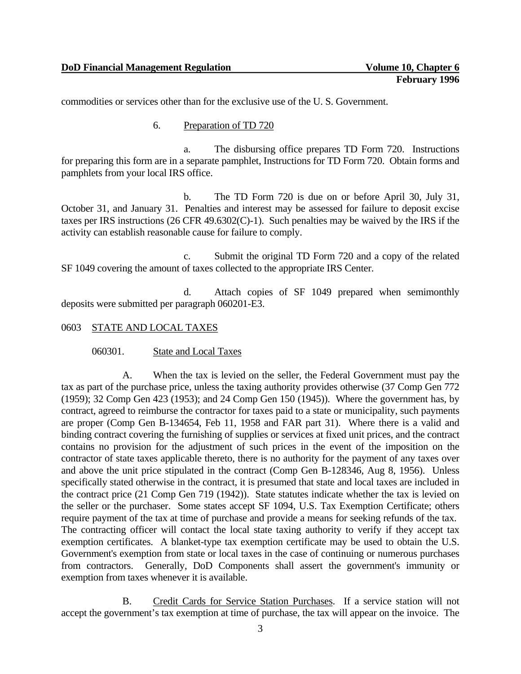commodities or services other than for the exclusive use of the U. S. Government.

#### 6. Preparation of TD 720

a. The disbursing office prepares TD Form 720. Instructions for preparing this form are in a separate pamphlet, Instructions for TD Form 720. Obtain forms and pamphlets from your local IRS office.

b. The TD Form 720 is due on or before April 30, July 31, October 31, and January 31. Penalties and interest may be assessed for failure to deposit excise taxes per IRS instructions (26 CFR 49.6302(C)-1). Such penalties may be waived by the IRS if the activity can establish reasonable cause for failure to comply.

c. Submit the original TD Form 720 and a copy of the related SF 1049 covering the amount of taxes collected to the appropriate IRS Center.

d. Attach copies of SF 1049 prepared when semimonthly deposits were submitted per paragraph 060201-E3.

0603 STATE AND LOCAL TAXES

060301. State and Local Taxes

A. When the tax is levied on the seller, the Federal Government must pay the tax as part of the purchase price, unless the taxing authority provides otherwise (37 Comp Gen 772 (1959); 32 Comp Gen 423 (1953); and 24 Comp Gen 150 (1945)). Where the government has, by contract, agreed to reimburse the contractor for taxes paid to a state or municipality, such payments are proper (Comp Gen B-134654, Feb 11, 1958 and FAR part 31). Where there is a valid and binding contract covering the furnishing of supplies or services at fixed unit prices, and the contract contains no provision for the adjustment of such prices in the event of the imposition on the contractor of state taxes applicable thereto, there is no authority for the payment of any taxes over and above the unit price stipulated in the contract (Comp Gen B-128346, Aug 8, 1956). Unless specifically stated otherwise in the contract, it is presumed that state and local taxes are included in the contract price (21 Comp Gen 719 (1942)). State statutes indicate whether the tax is levied on the seller or the purchaser. Some states accept SF 1094, U.S. Tax Exemption Certificate; others require payment of the tax at time of purchase and provide a means for seeking refunds of the tax. The contracting officer will contact the local state taxing authority to verify if they accept tax exemption certificates. A blanket-type tax exemption certificate may be used to obtain the U.S. Government's exemption from state or local taxes in the case of continuing or numerous purchases from contractors. Generally, DoD Components shall assert the government's immunity or exemption from taxes whenever it is available.

B. Credit Cards for Service Station Purchases. If a service station will not accept the government's tax exemption at time of purchase, the tax will appear on the invoice. The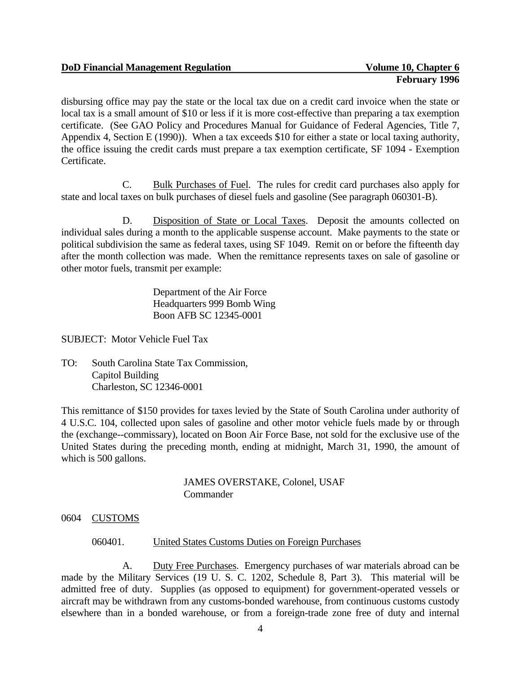disbursing office may pay the state or the local tax due on a credit card invoice when the state or local tax is a small amount of \$10 or less if it is more cost-effective than preparing a tax exemption certificate. (See GAO Policy and Procedures Manual for Guidance of Federal Agencies, Title 7, Appendix 4, Section E (1990)). When a tax exceeds \$10 for either a state or local taxing authority, the office issuing the credit cards must prepare a tax exemption certificate, SF 1094 - Exemption Certificate.

C. Bulk Purchases of Fuel. The rules for credit card purchases also apply for state and local taxes on bulk purchases of diesel fuels and gasoline (See paragraph 060301-B).

D. Disposition of State or Local Taxes. Deposit the amounts collected on individual sales during a month to the applicable suspense account. Make payments to the state or political subdivision the same as federal taxes, using SF 1049. Remit on or before the fifteenth day after the month collection was made. When the remittance represents taxes on sale of gasoline or other motor fuels, transmit per example:

> Department of the Air Force Headquarters 999 Bomb Wing Boon AFB SC 12345-0001

SUBJECT: Motor Vehicle Fuel Tax

TO: South Carolina State Tax Commission, Capitol Building Charleston, SC 12346-0001

This remittance of \$150 provides for taxes levied by the State of South Carolina under authority of 4 U.S.C. 104, collected upon sales of gasoline and other motor vehicle fuels made by or through the (exchange--commissary), located on Boon Air Force Base, not sold for the exclusive use of the United States during the preceding month, ending at midnight, March 31, 1990, the amount of which is 500 gallons.

> JAMES OVERSTAKE, Colonel, USAF **Commander**

0604 CUSTOMS

## 060401. United States Customs Duties on Foreign Purchases

A. Duty Free Purchases. Emergency purchases of war materials abroad can be made by the Military Services (19 U. S. C. 1202, Schedule 8, Part 3). This material will be admitted free of duty. Supplies (as opposed to equipment) for government-operated vessels or aircraft may be withdrawn from any customs-bonded warehouse, from continuous customs custody elsewhere than in a bonded warehouse, or from a foreign-trade zone free of duty and internal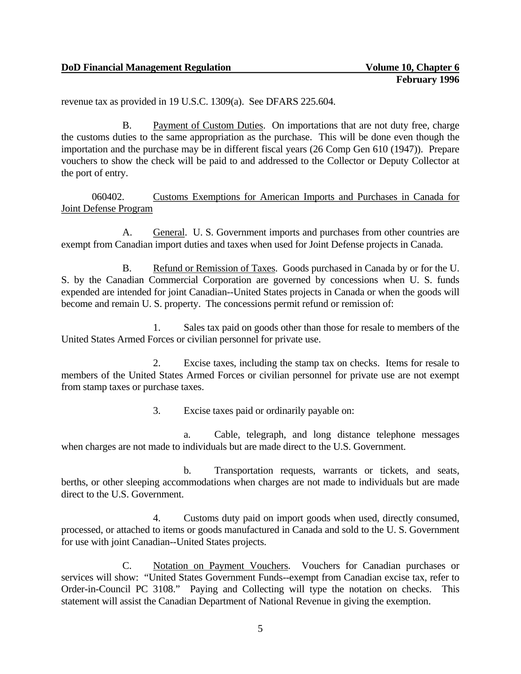revenue tax as provided in 19 U.S.C. 1309(a). See DFARS 225.604.

B. Payment of Custom Duties. On importations that are not duty free, charge the customs duties to the same appropriation as the purchase. This will be done even though the importation and the purchase may be in different fiscal years (26 Comp Gen 610 (1947)). Prepare vouchers to show the check will be paid to and addressed to the Collector or Deputy Collector at the port of entry.

060402. Customs Exemptions for American Imports and Purchases in Canada for Joint Defense Program

A. General. U. S. Government imports and purchases from other countries are exempt from Canadian import duties and taxes when used for Joint Defense projects in Canada.

B. Refund or Remission of Taxes. Goods purchased in Canada by or for the U. S. by the Canadian Commercial Corporation are governed by concessions when U. S. funds expended are intended for joint Canadian--United States projects in Canada or when the goods will become and remain U. S. property. The concessions permit refund or remission of:

1. Sales tax paid on goods other than those for resale to members of the United States Armed Forces or civilian personnel for private use.

2. Excise taxes, including the stamp tax on checks. Items for resale to members of the United States Armed Forces or civilian personnel for private use are not exempt from stamp taxes or purchase taxes.

3. Excise taxes paid or ordinarily payable on:

a. Cable, telegraph, and long distance telephone messages when charges are not made to individuals but are made direct to the U.S. Government.

b. Transportation requests, warrants or tickets, and seats, berths, or other sleeping accommodations when charges are not made to individuals but are made direct to the U.S. Government.

4. Customs duty paid on import goods when used, directly consumed, processed, or attached to items or goods manufactured in Canada and sold to the U. S. Government for use with joint Canadian--United States projects.

C. Notation on Payment Vouchers. Vouchers for Canadian purchases or services will show: "United States Government Funds--exempt from Canadian excise tax, refer to Order-in-Council PC 3108." Paying and Collecting will type the notation on checks. This statement will assist the Canadian Department of National Revenue in giving the exemption.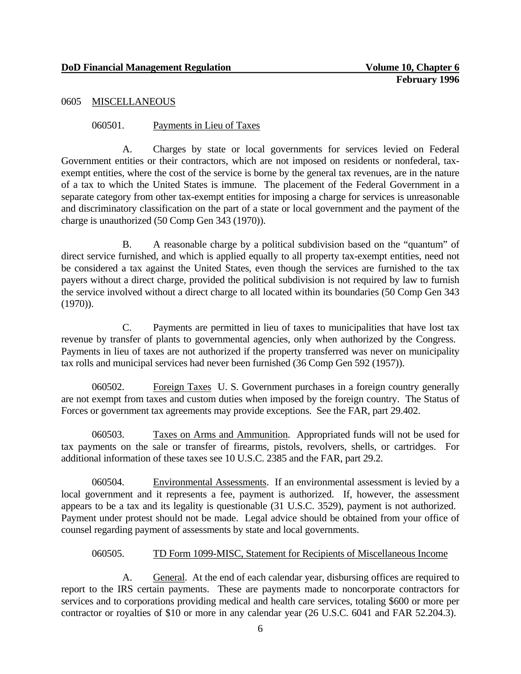## 0605 MISCELLANEOUS

## 060501. Payments in Lieu of Taxes

A. Charges by state or local governments for services levied on Federal Government entities or their contractors, which are not imposed on residents or nonfederal, taxexempt entities, where the cost of the service is borne by the general tax revenues, are in the nature of a tax to which the United States is immune. The placement of the Federal Government in a separate category from other tax-exempt entities for imposing a charge for services is unreasonable and discriminatory classification on the part of a state or local government and the payment of the charge is unauthorized (50 Comp Gen 343 (1970)).

B. A reasonable charge by a political subdivision based on the "quantum" of direct service furnished, and which is applied equally to all property tax-exempt entities, need not be considered a tax against the United States, even though the services are furnished to the tax payers without a direct charge, provided the political subdivision is not required by law to furnish the service involved without a direct charge to all located within its boundaries (50 Comp Gen 343 (1970)).

C. Payments are permitted in lieu of taxes to municipalities that have lost tax revenue by transfer of plants to governmental agencies, only when authorized by the Congress. Payments in lieu of taxes are not authorized if the property transferred was never on municipality tax rolls and municipal services had never been furnished (36 Comp Gen 592 (1957)).

060502. Foreign Taxes U. S. Government purchases in a foreign country generally are not exempt from taxes and custom duties when imposed by the foreign country. The Status of Forces or government tax agreements may provide exceptions. See the FAR, part 29.402.

060503. Taxes on Arms and Ammunition. Appropriated funds will not be used for tax payments on the sale or transfer of firearms, pistols, revolvers, shells, or cartridges. For additional information of these taxes see 10 U.S.C. 2385 and the FAR, part 29.2.

060504. Environmental Assessments. If an environmental assessment is levied by a local government and it represents a fee, payment is authorized. If, however, the assessment appears to be a tax and its legality is questionable (31 U.S.C. 3529), payment is not authorized. Payment under protest should not be made. Legal advice should be obtained from your office of counsel regarding payment of assessments by state and local governments.

## 060505. TD Form 1099-MISC, Statement for Recipients of Miscellaneous Income

A. General. At the end of each calendar year, disbursing offices are required to report to the IRS certain payments. These are payments made to noncorporate contractors for services and to corporations providing medical and health care services, totaling \$600 or more per contractor or royalties of \$10 or more in any calendar year (26 U.S.C. 6041 and FAR 52.204.3).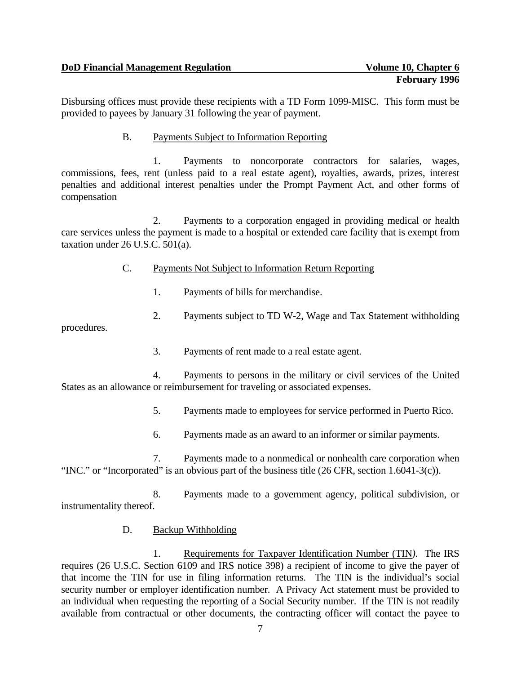Disbursing offices must provide these recipients with a TD Form 1099-MISC. This form must be provided to payees by January 31 following the year of payment.

B. Payments Subject to Information Reporting

1. Payments to noncorporate contractors for salaries, wages, commissions, fees, rent (unless paid to a real estate agent), royalties, awards, prizes, interest penalties and additional interest penalties under the Prompt Payment Act, and other forms of compensation

2. Payments to a corporation engaged in providing medical or health care services unless the payment is made to a hospital or extended care facility that is exempt from taxation under 26 U.S.C. 501(a).

- C. Payments Not Subject to Information Return Reporting
	- 1. Payments of bills for merchandise.
	- 2. Payments subject to TD W-2, Wage and Tax Statement withholding

procedures.

3. Payments of rent made to a real estate agent.

4. Payments to persons in the military or civil services of the United States as an allowance or reimbursement for traveling or associated expenses.

5. Payments made to employees for service performed in Puerto Rico.

6. Payments made as an award to an informer or similar payments.

7. Payments made to a nonmedical or nonhealth care corporation when "INC." or "Incorporated" is an obvious part of the business title (26 CFR, section 1.6041-3(c)).

8. Payments made to a government agency, political subdivision, or instrumentality thereof.

## D. Backup Withholding

1. Requirements for Taxpayer Identification Number (TIN*)*. The IRS requires (26 U.S.C. Section 6109 and IRS notice 398) a recipient of income to give the payer of that income the TIN for use in filing information returns. The TIN is the individual's social security number or employer identification number. A Privacy Act statement must be provided to an individual when requesting the reporting of a Social Security number. If the TIN is not readily available from contractual or other documents, the contracting officer will contact the payee to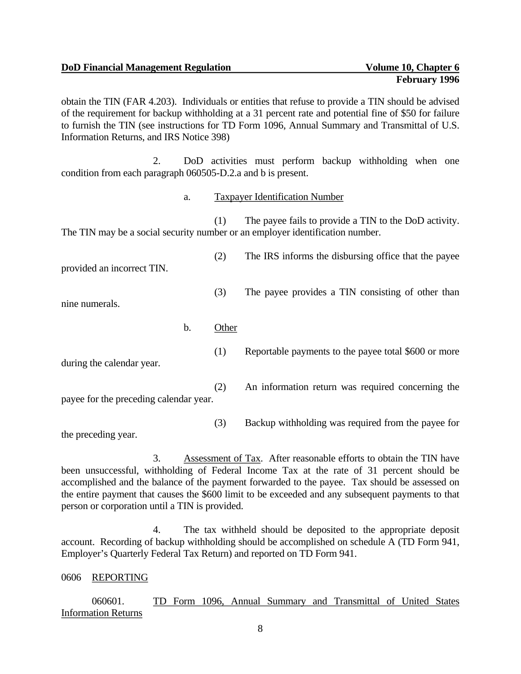**DoD Financial Management Regulation and Company is a set of Volume 10, Chapter 6** 

obtain the TIN (FAR 4.203). Individuals or entities that refuse to provide a TIN should be advised of the requirement for backup withholding at a 31 percent rate and potential fine of \$50 for failure to furnish the TIN (see instructions for TD Form 1096, Annual Summary and Transmittal of U.S. Information Returns, and IRS Notice 398)

2. DoD activities must perform backup withholding when one condition from each paragraph 060505-D.2.a and b is present.

a. Taxpayer Identification Number

(1) The payee fails to provide a TIN to the DoD activity. The TIN may be a social security number or an employer identification number.

provided an incorrect TIN.

nine numerals.

b. Other

during the calendar year.

payee for the preceding calendar year.

(3) Backup withholding was required from the payee for

the preceding year.

3. Assessment of Tax. After reasonable efforts to obtain the TIN have been unsuccessful, withholding of Federal Income Tax at the rate of 31 percent should be accomplished and the balance of the payment forwarded to the payee. Tax should be assessed on the entire payment that causes the \$600 limit to be exceeded and any subsequent payments to that person or corporation until a TIN is provided.

4. The tax withheld should be deposited to the appropriate deposit account. Recording of backup withholding should be accomplished on schedule A (TD Form 941, Employer's Quarterly Federal Tax Return) and reported on TD Form 941.

# 0606 REPORTING

060601. TD Form 1096, Annual Summary and Transmittal of United States Information Returns

8

- - (1) Reportable payments to the payee total \$600 or more

(2) The IRS informs the disbursing office that the payee

(3) The payee provides a TIN consisting of other than

- (2) An information return was required concerning the
-